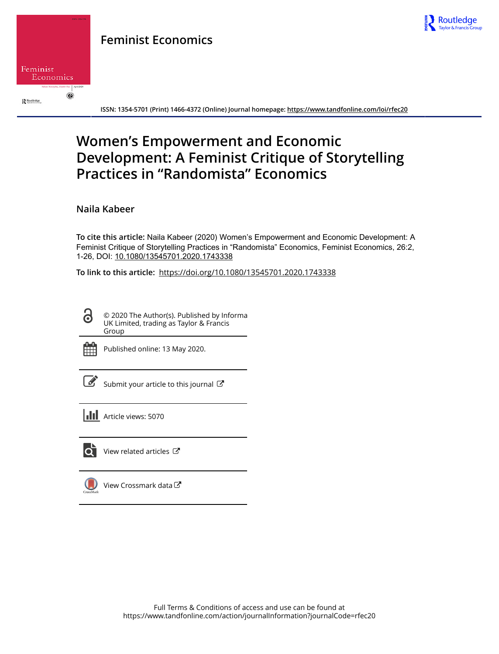

## **Feminist Economics**



**ISSN: 1354-5701 (Print) 1466-4372 (Online) Journal homepage:<https://www.tandfonline.com/loi/rfec20>**

# **Women's Empowerment and Economic Development: A Feminist Critique of Storytelling Practices in "Randomista" Economics**

**Naila Kabeer**

**To cite this article:** Naila Kabeer (2020) Women's Empowerment and Economic Development: A Feminist Critique of Storytelling Practices in "Randomista" Economics, Feminist Economics, 26:2, 1-26, DOI: [10.1080/13545701.2020.1743338](https://www.tandfonline.com/action/showCitFormats?doi=10.1080/13545701.2020.1743338)

**To link to this article:** <https://doi.org/10.1080/13545701.2020.1743338>

© 2020 The Author(s). Published by Informa UK Limited, trading as Taylor & Francis Group



െ

Published online: 13 May 2020.

[Submit your article to this journal](https://www.tandfonline.com/action/authorSubmission?journalCode=rfec20&show=instructions)  $\mathbb{Z}$ 

**III** Article views: 5070



 $\overline{\mathbf{Q}}$  [View related articles](https://www.tandfonline.com/doi/mlt/10.1080/13545701.2020.1743338)  $\mathbf{C}$ 

[View Crossmark data](http://crossmark.crossref.org/dialog/?doi=10.1080/13545701.2020.1743338&domain=pdf&date_stamp=2020-05-13) $\mathbb{Z}$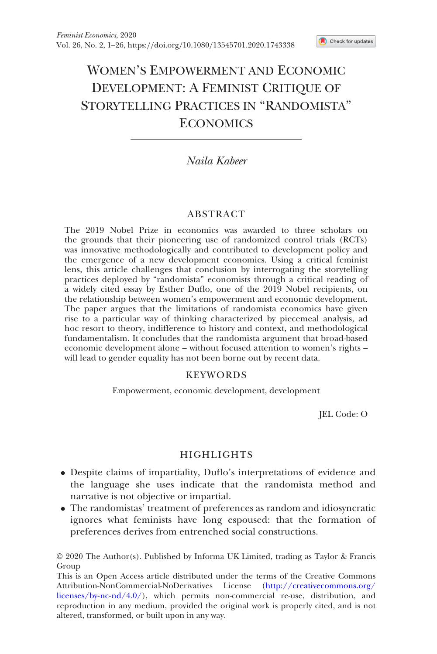## WOMEN'S EMPOWERMENT AND ECONOMIC DEVELOPMENT: A FEMINIST CRITIQUE OF STORYTELLING PRACTICES IN "RANDOMISTA" **ECONOMICS**

## *Naila Kabeer*

## ABSTRACT

The 2019 Nobel Prize in economics was awarded to three scholars on the grounds that their pioneering use of randomized control trials (RCTs) was innovative methodologically and contributed to development policy and the emergence of a new development economics. Using a critical feminist lens, this article challenges that conclusion by interrogating the storytelling practices deployed by "randomista" economists through a critical reading of a widely cited essay by Esther Duflo, one of the 2019 Nobel recipients, on the relationship between women's empowerment and economic development. The paper argues that the limitations of randomista economics have given rise to a particular way of thinking characterized by piecemeal analysis, ad hoc resort to theory, indifference to history and context, and methodological fundamentalism. It concludes that the randomista argument that broad-based economic development alone – without focused attention to women's rights – will lead to gender equality has not been borne out by recent data.

#### KEYWORDS

Empowerment, economic development, development

JEL Code: O

## HIGHLIGHTS

- Despite claims of impartiality, Duflo's interpretations of evidence and the language she uses indicate that the randomista method and narrative is not objective or impartial.
- The randomistas' treatment of preferences as random and idiosyncratic ignores what feminists have long espoused: that the formation of preferences derives from entrenched social constructions.

<sup>© 2020</sup> The Author(s). Published by Informa UK Limited, trading as Taylor & Francis Group

This is an Open Access article distributed under the terms of the Creative Commons Attribution-NonCommercial-NoDerivatives License [\(http://creativecommons.org/](http://creativecommons.org/licenses/by-nc-nd/4.0/) [licenses/by-nc-nd/4.0/\)](http://creativecommons.org/licenses/by-nc-nd/4.0/), which permits non-commercial re-use, distribution, and reproduction in any medium, provided the original work is properly cited, and is not altered, transformed, or built upon in any way.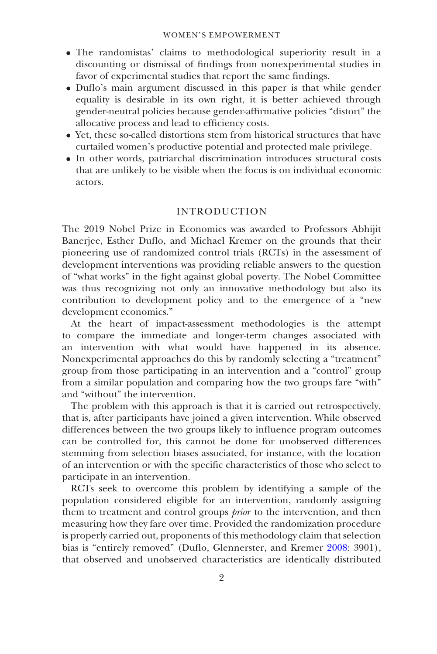- The randomistas' claims to methodological superiority result in a discounting or dismissal of findings from nonexperimental studies in favor of experimental studies that report the same findings.
- Duflo's main argument discussed in this paper is that while gender equality is desirable in its own right, it is better achieved through gender-neutral policies because gender-affirmative policies "distort" the allocative process and lead to efficiency costs.
- Yet, these so-called distortions stem from historical structures that have curtailed women's productive potential and protected male privilege.
- In other words, patriarchal discrimination introduces structural costs that are unlikely to be visible when the focus is on individual economic actors.

## INTRODUCTION

The 2019 Nobel Prize in Economics was awarded to Professors Abhijit Banerjee, Esther Duflo, and Michael Kremer on the grounds that their pioneering use of randomized control trials (RCTs) in the assessment of development interventions was providing reliable answers to the question of "what works" in the fight against global poverty. The Nobel Committee was thus recognizing not only an innovative methodology but also its contribution to development policy and to the emergence of a "new development economics."

At the heart of impact-assessment methodologies is the attempt to compare the immediate and longer-term changes associated with an intervention with what would have happened in its absence. Nonexperimental approaches do this by randomly selecting a "treatment" group from those participating in an intervention and a "control" group from a similar population and comparing how the two groups fare "with" and "without" the intervention.

The problem with this approach is that it is carried out retrospectively, that is, after participants have joined a given intervention. While observed differences between the two groups likely to influence program outcomes can be controlled for, this cannot be done for unobserved differences stemming from selection biases associated, for instance, with the location of an intervention or with the specific characteristics of those who select to participate in an intervention.

RCTs seek to overcome this problem by identifying a sample of the population considered eligible for an intervention, randomly assigning them to treatment and control groups *prior* to the intervention, and then measuring how they fare over time. Provided the randomization procedure is properly carried out, proponents of this methodology claim that selection bias is "entirely removed" (Duflo, Glennerster, and Kremer [2008:](#page-24-0) 3901), that observed and unobserved characteristics are identically distributed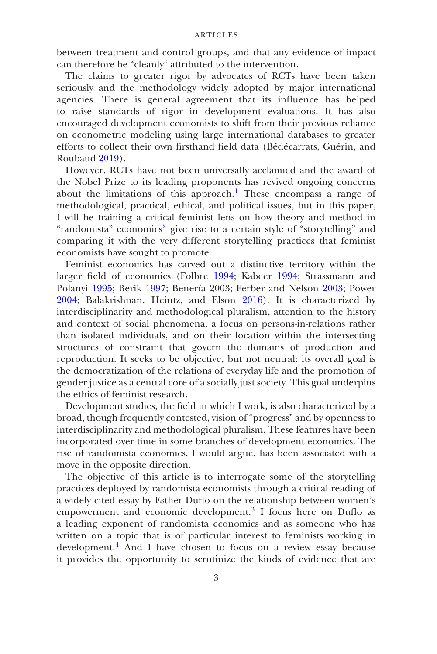between treatment and control groups, and that any evidence of impact can therefore be "cleanly" attributed to the intervention.

The claims to greater rigor by advocates of RCTs have been taken seriously and the methodology widely adopted by major international agencies. There is general agreement that its influence has helped to raise standards of rigor in development evaluations. It has also encouraged development economists to shift from their previous reliance on econometric modeling using large international databases to greater efforts to collect their own firsthand field data (Bédécarrats, Guérin, and Roubaud [2019\)](#page-23-0).

<span id="page-3-0"></span>However, RCTs have not been universally acclaimed and the award of the Nobel Prize to its leading proponents has revived ongoing concerns about the limitations of this approach.<sup>[1](#page-22-0)</sup> These encompass a range of methodological, practical, ethical, and political issues, but in this paper, I will be training a critical feminist lens on how theory and method in "randomista" economics<sup>2</sup> give rise to a certain style of "storytelling" and comparing it with the very different storytelling practices that feminist economists have sought to promote.

<span id="page-3-1"></span>Feminist economics has carved out a distinctive territory within the larger field of economics (Folbre [1994;](#page-24-1) Kabeer [1994;](#page-24-2) Strassmann and Polanyi [1995;](#page-26-0) Berik [1997;](#page-23-1) Benería 2003; Ferber and Nelson [2003;](#page-24-3) Power [2004;](#page-25-0) Balakrishnan, Heintz, and Elson [2016\)](#page-23-2). It is characterized by interdisciplinarity and methodological pluralism, attention to the history and context of social phenomena, a focus on persons-in-relations rather than isolated individuals, and on their location within the intersecting structures of constraint that govern the domains of production and reproduction. It seeks to be objective, but not neutral: its overall goal is the democratization of the relations of everyday life and the promotion of gender justice as a central core of a socially just society. This goal underpins the ethics of feminist research.

Development studies, the field in which I work, is also characterized by a broad, though frequently contested, vision of "progress" and by openness to interdisciplinarity and methodological pluralism. These features have been incorporated over time in some branches of development economics. The rise of randomista economics, I would argue, has been associated with a move in the opposite direction.

<span id="page-3-3"></span><span id="page-3-2"></span>The objective of this article is to interrogate some of the storytelling practices deployed by randomista economists through a critical reading of a widely cited essay by Esther Duflo on the relationship between women's empowerment and economic development.<sup>3</sup> I focus here on Duflo as a leading exponent of randomista economics and as someone who has written on a topic that is of particular interest to feminists working in development.<sup>4</sup> And I have chosen to focus on a review essay because it provides the opportunity to scrutinize the kinds of evidence that are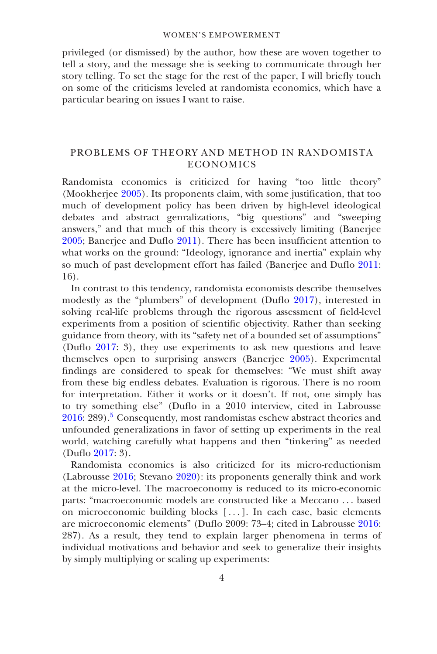privileged (or dismissed) by the author, how these are woven together to tell a story, and the message she is seeking to communicate through her story telling. To set the stage for the rest of the paper, I will briefly touch on some of the criticisms leveled at randomista economics, which have a particular bearing on issues I want to raise.

## PROBLEMS OF THEORY AND METHOD IN RANDOMISTA ECONOMICS

Randomista economics is criticized for having "too little theory" (Mookherjee [2005\)](#page-25-1). Its proponents claim, with some justification, that too much of development policy has been driven by high-level ideological debates and abstract genralizations, "big questions" and "sweeping answers," and that much of this theory is excessively limiting (Banerjee [2005;](#page-23-3) Banerjee and Duflo [2011\)](#page-23-4). There has been insufficient attention to what works on the ground: "Ideology, ignorance and inertia" explain why so much of past development effort has failed (Banerjee and Duflo [2011:](#page-23-4) 16).

In contrast to this tendency, randomista economists describe themselves modestly as the "plumbers" of development (Duflo [2017\)](#page-24-4), interested in solving real-life problems through the rigorous assessment of field-level experiments from a position of scientific objectivity. Rather than seeking guidance from theory, with its "safety net of a bounded set of assumptions" (Duflo [2017:](#page-24-4) 3), they use experiments to ask new questions and leave themselves open to surprising answers (Banerjee [2005\)](#page-23-3). Experimental findings are considered to speak for themselves: "We must shift away from these big endless debates. Evaluation is rigorous. There is no room for interpretation. Either it works or it doesn't. If not, one simply has to try something else" (Duflo in a 2010 interview, cited in Labrousse  $2016: 289$  $2016: 289$ .<sup>[5](#page-22-4)</sup> Consequently, most randomistas eschew abstract theories and unfounded generalizations in favor of setting up experiments in the real world, watching carefully what happens and then "tinkering" as needed (Duflo [2017:](#page-24-4) 3).

<span id="page-4-0"></span>Randomista economics is also criticized for its micro-reductionism (Labrousse [2016;](#page-25-2) Stevano [2020\)](#page-25-3): its proponents generally think and work at the micro-level. The macroeconomy is reduced to its micro-economic parts: "macroeconomic models are constructed like a Meccano *...* based on microeconomic building blocks [ *...* ]. In each case, basic elements are microeconomic elements" (Duflo 2009: 73–4; cited in Labrousse [2016:](#page-25-2) 287). As a result, they tend to explain larger phenomena in terms of individual motivations and behavior and seek to generalize their insights by simply multiplying or scaling up experiments: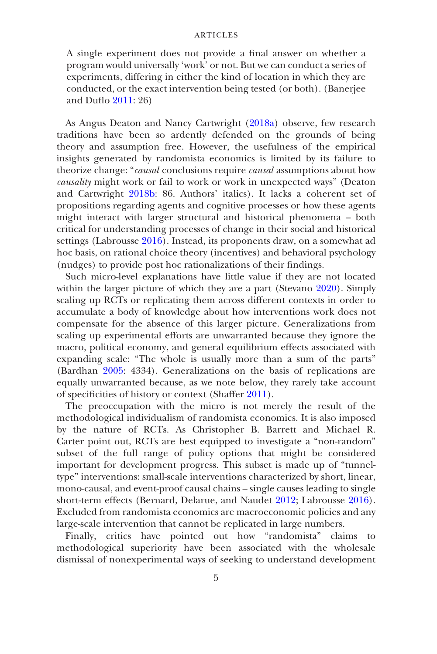A single experiment does not provide a final answer on whether a program would universally 'work' or not. But we can conduct a series of experiments, differing in either the kind of location in which they are conducted, or the exact intervention being tested (or both). (Banerjee and Duflo [2011:](#page-23-4) 26)

As Angus Deaton and Nancy Cartwright [\(2018a\)](#page-23-5) observe, few research traditions have been so ardently defended on the grounds of being theory and assumption free. However, the usefulness of the empirical insights generated by randomista economics is limited by its failure to theorize change: "*causal* conclusions require *causal* assumptions about how *causality* might work or fail to work or work in unexpected ways" (Deaton and Cartwright [2018b:](#page-24-5) 86. Authors' italics). It lacks a coherent set of propositions regarding agents and cognitive processes or how these agents might interact with larger structural and historical phenomena – both critical for understanding processes of change in their social and historical settings (Labrousse [2016\)](#page-25-2). Instead, its proponents draw, on a somewhat ad hoc basis, on rational choice theory (incentives) and behavioral psychology (nudges) to provide post hoc rationalizations of their findings.

Such micro-level explanations have little value if they are not located within the larger picture of which they are a part (Stevano [2020\)](#page-25-3). Simply scaling up RCTs or replicating them across different contexts in order to accumulate a body of knowledge about how interventions work does not compensate for the absence of this larger picture. Generalizations from scaling up experimental efforts are unwarranted because they ignore the macro, political economy, and general equilibrium effects associated with expanding scale: "The whole is usually more than a sum of the parts" (Bardhan [2005:](#page-23-6) 4334). Generalizations on the basis of replications are equally unwarranted because, as we note below, they rarely take account of specificities of history or context (Shaffer [2011\)](#page-25-4).

The preoccupation with the micro is not merely the result of the methodological individualism of randomista economics. It is also imposed by the nature of RCTs. As Christopher B. Barrett and Michael R. Carter point out, RCTs are best equipped to investigate a "non-random" subset of the full range of policy options that might be considered important for development progress. This subset is made up of "tunneltype" interventions: small-scale interventions characterized by short, linear, mono-causal, and event-proof causal chains – single causes leading to single short-term effects (Bernard, Delarue, and Naudet [2012;](#page-23-7) Labrousse [2016\)](#page-25-2). Excluded from randomista economics are macroeconomic policies and any large-scale intervention that cannot be replicated in large numbers.

Finally, critics have pointed out how "randomista" claims to methodological superiority have been associated with the wholesale dismissal of nonexperimental ways of seeking to understand development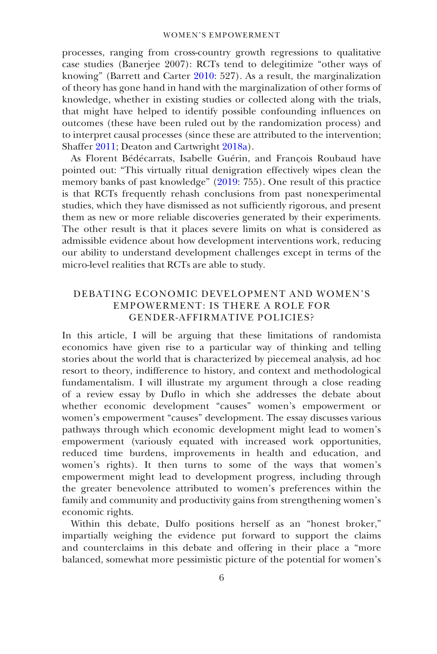processes, ranging from cross-country growth regressions to qualitative case studies (Banerjee 2007): RCTs tend to delegitimize "other ways of knowing" (Barrett and Carter [2010:](#page-23-8) 527). As a result, the marginalization of theory has gone hand in hand with the marginalization of other forms of knowledge, whether in existing studies or collected along with the trials, that might have helped to identify possible confounding influences on outcomes (these have been ruled out by the randomization process) and to interpret causal processes (since these are attributed to the intervention; Shaffer [2011;](#page-25-4) Deaton and Cartwright [2018a\)](#page-23-5).

As Florent Bédécarrats, Isabelle Guérin, and François Roubaud have pointed out: "This virtually ritual denigration effectively wipes clean the memory banks of past knowledge" [\(2019:](#page-23-0) 755). One result of this practice is that RCTs frequently rehash conclusions from past nonexperimental studies, which they have dismissed as not sufficiently rigorous, and present them as new or more reliable discoveries generated by their experiments. The other result is that it places severe limits on what is considered as admissible evidence about how development interventions work, reducing our ability to understand development challenges except in terms of the micro-level realities that RCTs are able to study.

## DEBATING ECONOMIC DEVELOPMENT AND WOMEN'S EMPOWERMENT: IS THERE A ROLE FOR GENDER-AFFIRMATIVE POLICIES?

In this article, I will be arguing that these limitations of randomista economics have given rise to a particular way of thinking and telling stories about the world that is characterized by piecemeal analysis, ad hoc resort to theory, indifference to history, and context and methodological fundamentalism. I will illustrate my argument through a close reading of a review essay by Duflo in which she addresses the debate about whether economic development "causes" women's empowerment or women's empowerment "causes" development. The essay discusses various pathways through which economic development might lead to women's empowerment (variously equated with increased work opportunities, reduced time burdens, improvements in health and education, and women's rights). It then turns to some of the ways that women's empowerment might lead to development progress, including through the greater benevolence attributed to women's preferences within the family and community and productivity gains from strengthening women's economic rights.

Within this debate, Dulfo positions herself as an "honest broker," impartially weighing the evidence put forward to support the claims and counterclaims in this debate and offering in their place a "more balanced, somewhat more pessimistic picture of the potential for women's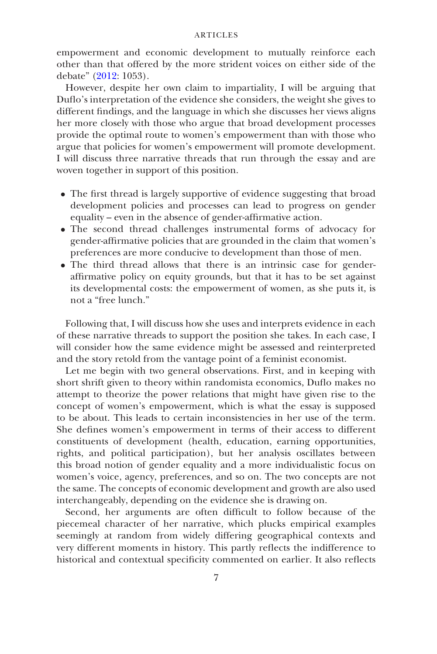empowerment and economic development to mutually reinforce each other than that offered by the more strident voices on either side of the debate" [\(2012:](#page-24-6) 1053).

However, despite her own claim to impartiality, I will be arguing that Duflo's interpretation of the evidence she considers, the weight she gives to different findings, and the language in which she discusses her views aligns her more closely with those who argue that broad development processes provide the optimal route to women's empowerment than with those who argue that policies for women's empowerment will promote development. I will discuss three narrative threads that run through the essay and are woven together in support of this position.

- The first thread is largely supportive of evidence suggesting that broad development policies and processes can lead to progress on gender equality – even in the absence of gender-affirmative action.
- The second thread challenges instrumental forms of advocacy for gender-affirmative policies that are grounded in the claim that women's preferences are more conducive to development than those of men.
- The third thread allows that there is an intrinsic case for genderaffirmative policy on equity grounds, but that it has to be set against its developmental costs: the empowerment of women, as she puts it, is not a "free lunch."

Following that, I will discuss how she uses and interprets evidence in each of these narrative threads to support the position she takes. In each case, I will consider how the same evidence might be assessed and reinterpreted and the story retold from the vantage point of a feminist economist.

Let me begin with two general observations. First, and in keeping with short shrift given to theory within randomista economics, Duflo makes no attempt to theorize the power relations that might have given rise to the concept of women's empowerment, which is what the essay is supposed to be about. This leads to certain inconsistencies in her use of the term. She defines women's empowerment in terms of their access to different constituents of development (health, education, earning opportunities, rights, and political participation), but her analysis oscillates between this broad notion of gender equality and a more individualistic focus on women's voice, agency, preferences, and so on. The two concepts are not the same. The concepts of economic development and growth are also used interchangeably, depending on the evidence she is drawing on.

Second, her arguments are often difficult to follow because of the piecemeal character of her narrative, which plucks empirical examples seemingly at random from widely differing geographical contexts and very different moments in history. This partly reflects the indifference to historical and contextual specificity commented on earlier. It also reflects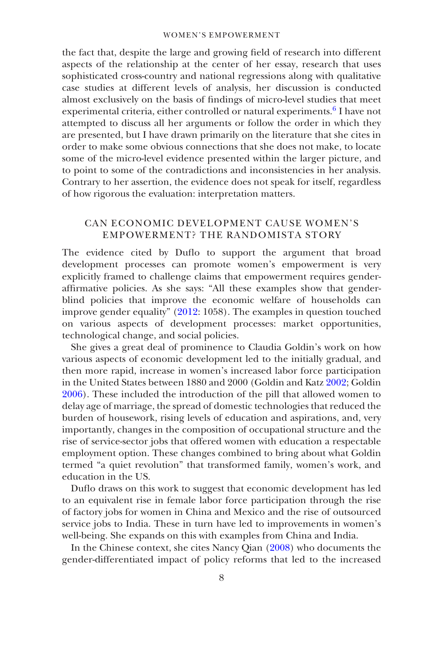the fact that, despite the large and growing field of research into different aspects of the relationship at the center of her essay, research that uses sophisticated cross-country and national regressions along with qualitative case studies at different levels of analysis, her discussion is conducted almost exclusively on the basis of findings of micro-level studies that meet experimental criteria, either controlled or natural experiments.<sup>[6](#page-22-5)</sup> I have not attempted to discuss all her arguments or follow the order in which they are presented, but I have drawn primarily on the literature that she cites in order to make some obvious connections that she does not make, to locate some of the micro-level evidence presented within the larger picture, and to point to some of the contradictions and inconsistencies in her analysis. Contrary to her assertion, the evidence does not speak for itself, regardless of how rigorous the evaluation: interpretation matters.

## <span id="page-8-0"></span>CAN ECONOMIC DEVELOPMENT CAUSE WOMEN'S EMPOWERMENT? THE RANDOMISTA STORY

The evidence cited by Duflo to support the argument that broad development processes can promote women's empowerment is very explicitly framed to challenge claims that empowerment requires genderaffirmative policies. As she says: "All these examples show that genderblind policies that improve the economic welfare of households can improve gender equality" [\(2012:](#page-24-6) 1058). The examples in question touched on various aspects of development processes: market opportunities, technological change, and social policies.

She gives a great deal of prominence to Claudia Goldin's work on how various aspects of economic development led to the initially gradual, and then more rapid, increase in women's increased labor force participation in the United States between 1880 and 2000 (Goldin and Katz [2002;](#page-24-7) Goldin [2006\)](#page-24-8). These included the introduction of the pill that allowed women to delay age of marriage, the spread of domestic technologies that reduced the burden of housework, rising levels of education and aspirations, and, very importantly, changes in the composition of occupational structure and the rise of service-sector jobs that offered women with education a respectable employment option. These changes combined to bring about what Goldin termed "a quiet revolution" that transformed family, women's work, and education in the US.

Duflo draws on this work to suggest that economic development has led to an equivalent rise in female labor force participation through the rise of factory jobs for women in China and Mexico and the rise of outsourced service jobs to India. These in turn have led to improvements in women's well-being. She expands on this with examples from China and India.

In the Chinese context, she cites Nancy Qian [\(2008\)](#page-25-5) who documents the gender-differentiated impact of policy reforms that led to the increased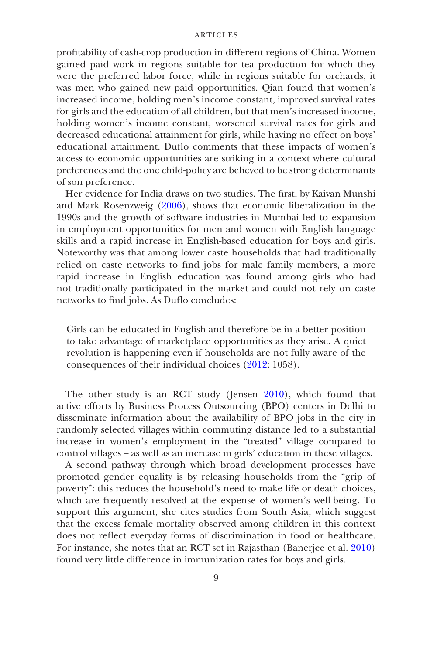profitability of cash-crop production in different regions of China. Women gained paid work in regions suitable for tea production for which they were the preferred labor force, while in regions suitable for orchards, it was men who gained new paid opportunities. Qian found that women's increased income, holding men's income constant, improved survival rates for girls and the education of all children, but that men's increased income, holding women's income constant, worsened survival rates for girls and decreased educational attainment for girls, while having no effect on boys' educational attainment. Duflo comments that these impacts of women's access to economic opportunities are striking in a context where cultural preferences and the one child-policy are believed to be strong determinants of son preference.

Her evidence for India draws on two studies. The first, by Kaivan Munshi and Mark Rosenzweig [\(2006\)](#page-25-6), shows that economic liberalization in the 1990s and the growth of software industries in Mumbai led to expansion in employment opportunities for men and women with English language skills and a rapid increase in English-based education for boys and girls. Noteworthy was that among lower caste households that had traditionally relied on caste networks to find jobs for male family members, a more rapid increase in English education was found among girls who had not traditionally participated in the market and could not rely on caste networks to find jobs. As Duflo concludes:

Girls can be educated in English and therefore be in a better position to take advantage of marketplace opportunities as they arise. A quiet revolution is happening even if households are not fully aware of the consequences of their individual choices [\(2012:](#page-24-6) 1058).

The other study is an RCT study (Jensen [2010\)](#page-24-9), which found that active efforts by Business Process Outsourcing (BPO) centers in Delhi to disseminate information about the availability of BPO jobs in the city in randomly selected villages within commuting distance led to a substantial increase in women's employment in the "treated" village compared to control villages – as well as an increase in girls' education in these villages.

A second pathway through which broad development processes have promoted gender equality is by releasing households from the "grip of poverty": this reduces the household's need to make life or death choices, which are frequently resolved at the expense of women's well-being. To support this argument, she cites studies from South Asia, which suggest that the excess female mortality observed among children in this context does not reflect everyday forms of discrimination in food or healthcare. For instance, she notes that an RCT set in Rajasthan (Banerjee et al. [2010\)](#page-23-9) found very little difference in immunization rates for boys and girls.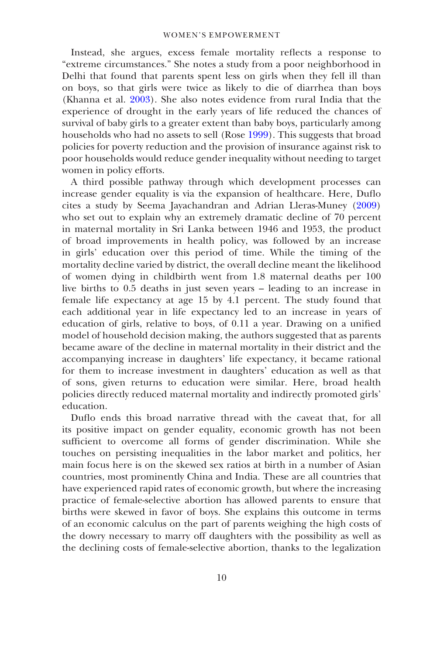Instead, she argues, excess female mortality reflects a response to "extreme circumstances." She notes a study from a poor neighborhood in Delhi that found that parents spent less on girls when they fell ill than on boys, so that girls were twice as likely to die of diarrhea than boys (Khanna et al. [2003\)](#page-25-7). She also notes evidence from rural India that the experience of drought in the early years of life reduced the chances of survival of baby girls to a greater extent than baby boys, particularly among households who had no assets to sell (Rose [1999\)](#page-25-8). This suggests that broad policies for poverty reduction and the provision of insurance against risk to poor households would reduce gender inequality without needing to target women in policy efforts.

A third possible pathway through which development processes can increase gender equality is via the expansion of healthcare. Here, Duflo cites a study by Seema Jayachandran and Adrian Lleras-Muney [\(2009\)](#page-24-10) who set out to explain why an extremely dramatic decline of 70 percent in maternal mortality in Sri Lanka between 1946 and 1953, the product of broad improvements in health policy, was followed by an increase in girls' education over this period of time. While the timing of the mortality decline varied by district, the overall decline meant the likelihood of women dying in childbirth went from 1.8 maternal deaths per 100 live births to 0.5 deaths in just seven years – leading to an increase in female life expectancy at age 15 by 4.1 percent. The study found that each additional year in life expectancy led to an increase in years of education of girls, relative to boys, of 0.11 a year. Drawing on a unified model of household decision making, the authors suggested that as parents became aware of the decline in maternal mortality in their district and the accompanying increase in daughters' life expectancy, it became rational for them to increase investment in daughters' education as well as that of sons, given returns to education were similar. Here, broad health policies directly reduced maternal mortality and indirectly promoted girls' education.

Duflo ends this broad narrative thread with the caveat that, for all its positive impact on gender equality, economic growth has not been sufficient to overcome all forms of gender discrimination. While she touches on persisting inequalities in the labor market and politics, her main focus here is on the skewed sex ratios at birth in a number of Asian countries, most prominently China and India. These are all countries that have experienced rapid rates of economic growth, but where the increasing practice of female-selective abortion has allowed parents to ensure that births were skewed in favor of boys. She explains this outcome in terms of an economic calculus on the part of parents weighing the high costs of the dowry necessary to marry off daughters with the possibility as well as the declining costs of female-selective abortion, thanks to the legalization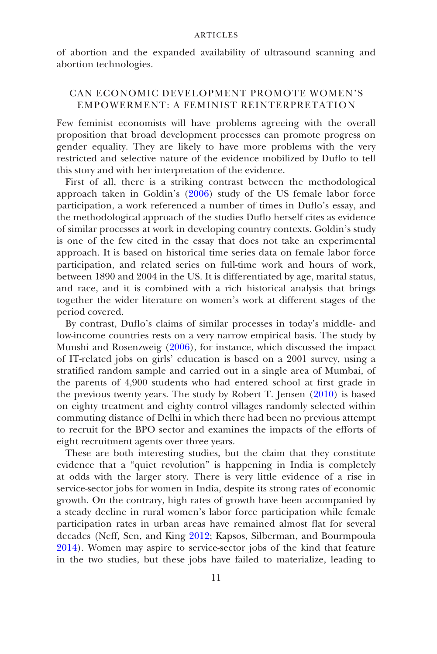of abortion and the expanded availability of ultrasound scanning and abortion technologies.

## CAN ECONOMIC DEVELOPMENT PROMOTE WOMEN'S EMPOWERMENT: A FEMINIST REINTERPRETATION

Few feminist economists will have problems agreeing with the overall proposition that broad development processes can promote progress on gender equality. They are likely to have more problems with the very restricted and selective nature of the evidence mobilized by Duflo to tell this story and with her interpretation of the evidence.

First of all, there is a striking contrast between the methodological approach taken in Goldin's [\(2006\)](#page-24-8) study of the US female labor force participation, a work referenced a number of times in Duflo's essay, and the methodological approach of the studies Duflo herself cites as evidence of similar processes at work in developing country contexts. Goldin's study is one of the few cited in the essay that does not take an experimental approach. It is based on historical time series data on female labor force participation, and related series on full-time work and hours of work, between 1890 and 2004 in the US. It is differentiated by age, marital status, and race, and it is combined with a rich historical analysis that brings together the wider literature on women's work at different stages of the period covered.

By contrast, Duflo's claims of similar processes in today's middle- and low-income countries rests on a very narrow empirical basis. The study by Munshi and Rosenzweig [\(2006\)](#page-25-6), for instance, which discussed the impact of IT-related jobs on girls' education is based on a 2001 survey, using a stratified random sample and carried out in a single area of Mumbai, of the parents of 4,900 students who had entered school at first grade in the previous twenty years. The study by Robert T. Jensen [\(2010\)](#page-24-9) is based on eighty treatment and eighty control villages randomly selected within commuting distance of Delhi in which there had been no previous attempt to recruit for the BPO sector and examines the impacts of the efforts of eight recruitment agents over three years.

These are both interesting studies, but the claim that they constitute evidence that a "quiet revolution" is happening in India is completely at odds with the larger story. There is very little evidence of a rise in service-sector jobs for women in India, despite its strong rates of economic growth. On the contrary, high rates of growth have been accompanied by a steady decline in rural women's labor force participation while female participation rates in urban areas have remained almost flat for several decades (Neff, Sen, and King [2012;](#page-25-9) Kapsos, Silberman, and Bourmpoula [2014\)](#page-25-10). Women may aspire to service-sector jobs of the kind that feature in the two studies, but these jobs have failed to materialize, leading to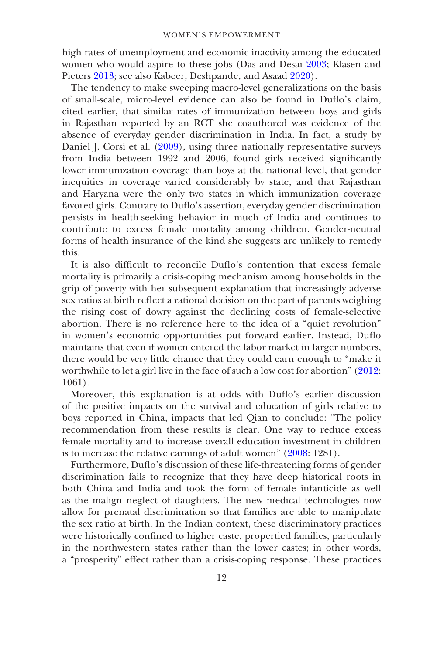high rates of unemployment and economic inactivity among the educated women who would aspire to these jobs (Das and Desai [2003;](#page-23-10) Klasen and Pieters [2013;](#page-25-11) see also Kabeer, Deshpande, and Asaad [2020\)](#page-24-11).

The tendency to make sweeping macro-level generalizations on the basis of small-scale, micro-level evidence can also be found in Duflo's claim, cited earlier, that similar rates of immunization between boys and girls in Rajasthan reported by an RCT she coauthored was evidence of the absence of everyday gender discrimination in India. In fact, a study by Daniel J. Corsi et al. [\(2009\)](#page-23-11), using three nationally representative surveys from India between 1992 and 2006, found girls received significantly lower immunization coverage than boys at the national level, that gender inequities in coverage varied considerably by state, and that Rajasthan and Haryana were the only two states in which immunization coverage favored girls. Contrary to Duflo's assertion, everyday gender discrimination persists in health-seeking behavior in much of India and continues to contribute to excess female mortality among children. Gender-neutral forms of health insurance of the kind she suggests are unlikely to remedy this.

It is also difficult to reconcile Duflo's contention that excess female mortality is primarily a crisis-coping mechanism among households in the grip of poverty with her subsequent explanation that increasingly adverse sex ratios at birth reflect a rational decision on the part of parents weighing the rising cost of dowry against the declining costs of female-selective abortion. There is no reference here to the idea of a "quiet revolution" in women's economic opportunities put forward earlier. Instead, Duflo maintains that even if women entered the labor market in larger numbers, there would be very little chance that they could earn enough to "make it worthwhile to let a girl live in the face of such a low cost for abortion" [\(2012:](#page-24-6) 1061).

Moreover, this explanation is at odds with Duflo's earlier discussion of the positive impacts on the survival and education of girls relative to boys reported in China, impacts that led Qian to conclude: "The policy recommendation from these results is clear. One way to reduce excess female mortality and to increase overall education investment in children is to increase the relative earnings of adult women" [\(2008:](#page-25-5) 1281).

Furthermore, Duflo's discussion of these life-threatening forms of gender discrimination fails to recognize that they have deep historical roots in both China and India and took the form of female infanticide as well as the malign neglect of daughters. The new medical technologies now allow for prenatal discrimination so that families are able to manipulate the sex ratio at birth. In the Indian context, these discriminatory practices were historically confined to higher caste, propertied families, particularly in the northwestern states rather than the lower castes; in other words, a "prosperity" effect rather than a crisis-coping response. These practices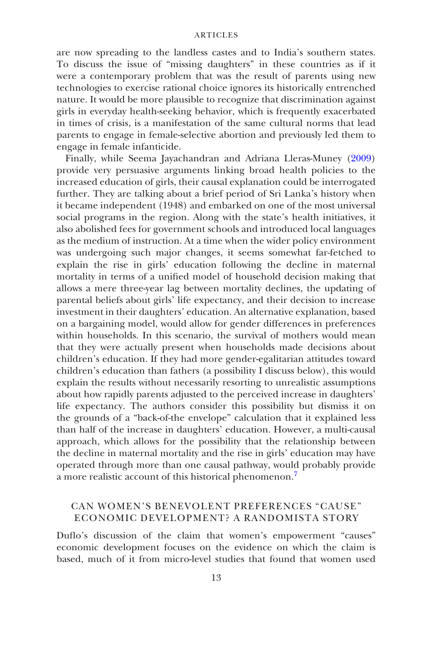are now spreading to the landless castes and to India's southern states. To discuss the issue of "missing daughters" in these countries as if it were a contemporary problem that was the result of parents using new technologies to exercise rational choice ignores its historically entrenched nature. It would be more plausible to recognize that discrimination against girls in everyday health-seeking behavior, which is frequently exacerbated in times of crisis, is a manifestation of the same cultural norms that lead parents to engage in female-selective abortion and previously led them to engage in female infanticide.

Finally, while Seema Jayachandran and Adriana Lleras-Muney [\(2009\)](#page-24-10) provide very persuasive arguments linking broad health policies to the increased education of girls, their causal explanation could be interrogated further. They are talking about a brief period of Sri Lanka's history when it became independent (1948) and embarked on one of the most universal social programs in the region. Along with the state's health initiatives, it also abolished fees for government schools and introduced local languages as the medium of instruction. At a time when the wider policy environment was undergoing such major changes, it seems somewhat far-fetched to explain the rise in girls' education following the decline in maternal mortality in terms of a unified model of household decision making that allows a mere three-year lag between mortality declines, the updating of parental beliefs about girls' life expectancy, and their decision to increase investment in their daughters' education. An alternative explanation, based on a bargaining model, would allow for gender differences in preferences within households. In this scenario, the survival of mothers would mean that they were actually present when households made decisions about children's education. If they had more gender-egalitarian attitudes toward children's education than fathers (a possibility I discuss below), this would explain the results without necessarily resorting to unrealistic assumptions about how rapidly parents adjusted to the perceived increase in daughters' life expectancy. The authors consider this possibility but dismiss it on the grounds of a "back-of-the envelope" calculation that it explained less than half of the increase in daughters' education. However, a multi-causal approach, which allows for the possibility that the relationship between the decline in maternal mortality and the rise in girls' education may have operated through more than one causal pathway, would probably provide a more realistic account of this historical phenomenon.<sup>[7](#page-22-6)</sup>

## <span id="page-13-0"></span>CAN WOMEN'S BENEVOLENT PREFERENCES "CAUSE" ECONOMIC DEVELOPMENT? A RANDOMISTA STORY

Duflo's discussion of the claim that women's empowerment "causes" economic development focuses on the evidence on which the claim is based, much of it from micro-level studies that found that women used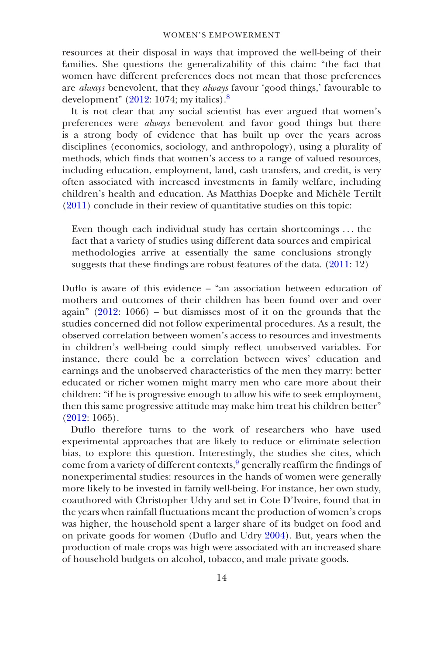resources at their disposal in ways that improved the well-being of their families. She questions the generalizability of this claim: "the fact that women have different preferences does not mean that those preferences are *always* benevolent, that they *always* favour 'good things,' favourable to development"  $(2012:1074; \text{my italics})$  $(2012:1074; \text{my italics})$ .<sup>8</sup>

<span id="page-14-0"></span>It is not clear that any social scientist has ever argued that women's preferences were *always* benevolent and favor good things but there is a strong body of evidence that has built up over the years across disciplines (economics, sociology, and anthropology), using a plurality of methods, which finds that women's access to a range of valued resources, including education, employment, land, cash transfers, and credit, is very often associated with increased investments in family welfare, including children's health and education. As Matthias Doepke and Michèle Tertilt [\(2011\)](#page-24-12) conclude in their review of quantitative studies on this topic:

Even though each individual study has certain shortcomings *...* the fact that a variety of studies using different data sources and empirical methodologies arrive at essentially the same conclusions strongly suggests that these findings are robust features of the data. [\(2011:](#page-24-12) 12)

Duflo is aware of this evidence – "an association between education of mothers and outcomes of their children has been found over and over again"  $(2012: 1066)$  $(2012: 1066)$  – but dismisses most of it on the grounds that the studies concerned did not follow experimental procedures. As a result, the observed correlation between women's access to resources and investments in children's well-being could simply reflect unobserved variables. For instance, there could be a correlation between wives' education and earnings and the unobserved characteristics of the men they marry: better educated or richer women might marry men who care more about their children: "if he is progressive enough to allow his wife to seek employment, then this same progressive attitude may make him treat his children better" [\(2012:](#page-24-6) 1065).

<span id="page-14-1"></span>Duflo therefore turns to the work of researchers who have used experimental approaches that are likely to reduce or eliminate selection bias, to explore this question. Interestingly, the studies she cites, which come from a variety of different contexts,  $9$  generally reaffirm the findings of nonexperimental studies: resources in the hands of women were generally more likely to be invested in family well-being. For instance, her own study, coauthored with Christopher Udry and set in Cote D'Ivoire, found that in the years when rainfall fluctuations meant the production of women's crops was higher, the household spent a larger share of its budget on food and on private goods for women (Duflo and Udry [2004\)](#page-24-13). But, years when the production of male crops was high were associated with an increased share of household budgets on alcohol, tobacco, and male private goods.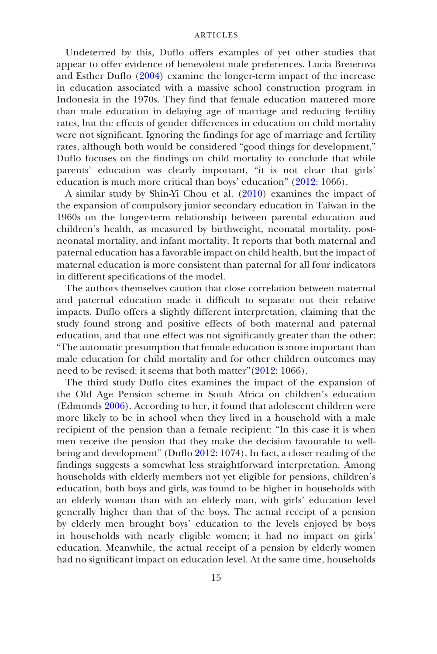Undeterred by this, Duflo offers examples of yet other studies that appear to offer evidence of benevolent male preferences. Lucia Breierova and Esther Duflo [\(2004\)](#page-23-12) examine the longer-term impact of the increase in education associated with a massive school construction program in Indonesia in the 1970s. They find that female education mattered more than male education in delaying age of marriage and reducing fertility rates, but the effects of gender differences in education on child mortality were not significant. Ignoring the findings for age of marriage and fertility rates, although both would be considered "good things for development," Duflo focuses on the findings on child mortality to conclude that while parents' education was clearly important, "it is not clear that girls' education is much more critical than boys' education" [\(2012:](#page-24-6) 1066).

A similar study by Shin-Yi Chou et al. [\(2010\)](#page-23-13) examines the impact of the expansion of compulsory junior secondary education in Taiwan in the 1960s on the longer-term relationship between parental education and children's health, as measured by birthweight, neonatal mortality, postneonatal mortality, and infant mortality. It reports that both maternal and paternal education has a favorable impact on child health, but the impact of maternal education is more consistent than paternal for all four indicators in different specifications of the model.

The authors themselves caution that close correlation between maternal and paternal education made it difficult to separate out their relative impacts. Duflo offers a slightly different interpretation, claiming that the study found strong and positive effects of both maternal and paternal education, and that one effect was not significantly greater than the other: "The automatic presumption that female education is more important than male education for child mortality and for other children outcomes may need to be revised: it seems that both matter"[\(2012:](#page-24-6) 1066).

The third study Duflo cites examines the impact of the expansion of the Old Age Pension scheme in South Africa on children's education (Edmonds [2006\)](#page-24-14). According to her, it found that adolescent children were more likely to be in school when they lived in a household with a male recipient of the pension than a female recipient: "In this case it is when men receive the pension that they make the decision favourable to well-being and development" (Duflo [2012:](#page-24-6) 1074). In fact, a closer reading of the findings suggests a somewhat less straightforward interpretation. Among households with elderly members not yet eligible for pensions, children's education, both boys and girls, was found to be higher in households with an elderly woman than with an elderly man, with girls' education level generally higher than that of the boys. The actual receipt of a pension by elderly men brought boys' education to the levels enjoyed by boys in households with nearly eligible women; it had no impact on girls' education. Meanwhile, the actual receipt of a pension by elderly women had no significant impact on education level. At the same time, households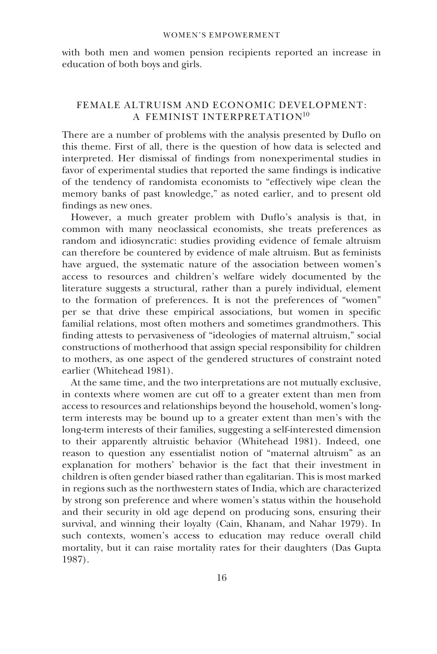with both men and women pension recipients reported an increase in education of both boys and girls.

## FEMALE ALTRUISM AND ECONOMIC DEVELOPMENT: A FEMINIST INTERPRETATION<sup>10</sup>

There are a number of problems with the analysis presented by Duflo on this theme. First of all, there is the question of how data is selected and interpreted. Her dismissal of findings from nonexperimental studies in favor of experimental studies that reported the same findings is indicative of the tendency of randomista economists to "effectively wipe clean the memory banks of past knowledge," as noted earlier, and to present old findings as new ones.

However, a much greater problem with Duflo's analysis is that, in common with many neoclassical economists, she treats preferences as random and idiosyncratic: studies providing evidence of female altruism can therefore be countered by evidence of male altruism. But as feminists have argued, the systematic nature of the association between women's access to resources and children's welfare widely documented by the literature suggests a structural, rather than a purely individual, element to the formation of preferences. It is not the preferences of "women" per se that drive these empirical associations, but women in specific familial relations, most often mothers and sometimes grandmothers. This finding attests to pervasiveness of "ideologies of maternal altruism," social constructions of motherhood that assign special responsibility for children to mothers, as one aspect of the gendered structures of constraint noted earlier (Whitehead 1981).

At the same time, and the two interpretations are not mutually exclusive, in contexts where women are cut off to a greater extent than men from access to resources and relationships beyond the household, women's longterm interests may be bound up to a greater extent than men's with the long-term interests of their families, suggesting a self-interested dimension to their apparently altruistic behavior (Whitehead 1981). Indeed, one reason to question any essentialist notion of "maternal altruism" as an explanation for mothers' behavior is the fact that their investment in children is often gender biased rather than egalitarian. This is most marked in regions such as the northwestern states of India, which are characterized by strong son preference and where women's status within the household and their security in old age depend on producing sons, ensuring their survival, and winning their loyalty (Cain, Khanam, and Nahar 1979). In such contexts, women's access to education may reduce overall child mortality, but it can raise mortality rates for their daughters (Das Gupta 1987).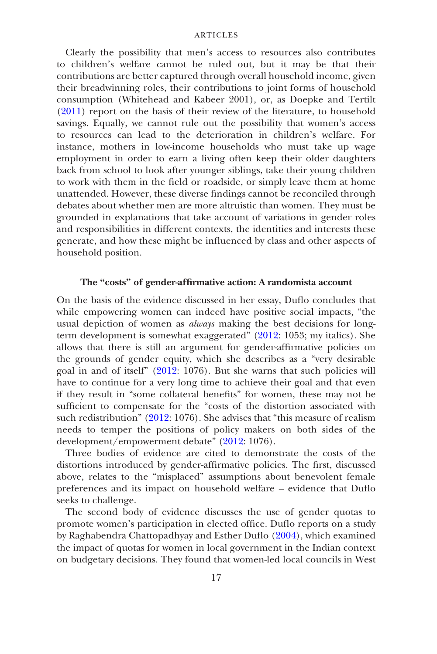Clearly the possibility that men's access to resources also contributes to children's welfare cannot be ruled out, but it may be that their contributions are better captured through overall household income, given their breadwinning roles, their contributions to joint forms of household consumption (Whitehead and Kabeer 2001), or, as Doepke and Tertilt [\(2011\)](#page-24-12) report on the basis of their review of the literature, to household savings. Equally, we cannot rule out the possibility that women's access to resources can lead to the deterioration in children's welfare. For instance, mothers in low-income households who must take up wage employment in order to earn a living often keep their older daughters back from school to look after younger siblings, take their young children to work with them in the field or roadside, or simply leave them at home unattended. However, these diverse findings cannot be reconciled through debates about whether men are more altruistic than women. They must be grounded in explanations that take account of variations in gender roles and responsibilities in different contexts, the identities and interests these generate, and how these might be influenced by class and other aspects of household position.

## **The "costs" of gender-affirmative action: A randomista account**

On the basis of the evidence discussed in her essay, Duflo concludes that while empowering women can indeed have positive social impacts, "the usual depiction of women as *always* making the best decisions for longterm development is somewhat exaggerated" [\(2012:](#page-24-6) 1053; my italics). She allows that there is still an argument for gender-affirmative policies on the grounds of gender equity, which she describes as a "very desirable goal in and of itself" [\(2012:](#page-24-6) 1076). But she warns that such policies will have to continue for a very long time to achieve their goal and that even if they result in "some collateral benefits" for women, these may not be sufficient to compensate for the "costs of the distortion associated with such redistribution" [\(2012:](#page-24-6) 1076). She advises that "this measure of realism needs to temper the positions of policy makers on both sides of the development/empowerment debate" [\(2012:](#page-24-6) 1076).

Three bodies of evidence are cited to demonstrate the costs of the distortions introduced by gender-affirmative policies. The first, discussed above, relates to the "misplaced" assumptions about benevolent female preferences and its impact on household welfare – evidence that Duflo seeks to challenge.

The second body of evidence discusses the use of gender quotas to promote women's participation in elected office. Duflo reports on a study by Raghabendra Chattopadhyay and Esther Duflo [\(2004\)](#page-23-14), which examined the impact of quotas for women in local government in the Indian context on budgetary decisions. They found that women-led local councils in West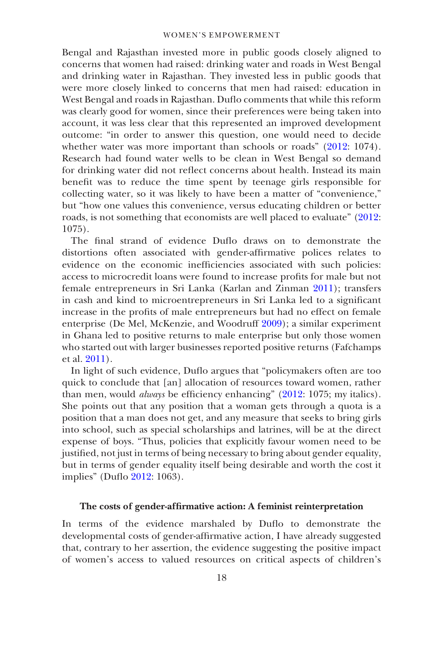Bengal and Rajasthan invested more in public goods closely aligned to concerns that women had raised: drinking water and roads in West Bengal and drinking water in Rajasthan. They invested less in public goods that were more closely linked to concerns that men had raised: education in West Bengal and roads in Rajasthan. Duflo comments that while this reform was clearly good for women, since their preferences were being taken into account, it was less clear that this represented an improved development outcome: "in order to answer this question, one would need to decide whether water was more important than schools or roads" [\(2012:](#page-24-6) 1074). Research had found water wells to be clean in West Bengal so demand for drinking water did not reflect concerns about health. Instead its main benefit was to reduce the time spent by teenage girls responsible for collecting water, so it was likely to have been a matter of "convenience," but "how one values this convenience, versus educating children or better roads, is not something that economists are well placed to evaluate" [\(2012:](#page-24-6) 1075).

The final strand of evidence Duflo draws on to demonstrate the distortions often associated with gender-affirmative polices relates to evidence on the economic inefficiencies associated with such policies: access to microcredit loans were found to increase profits for male but not female entrepreneurs in Sri Lanka (Karlan and Zinman [2011\)](#page-25-12); transfers in cash and kind to microentrepreneurs in Sri Lanka led to a significant increase in the profits of male entrepreneurs but had no effect on female enterprise (De Mel, McKenzie, and Woodruff [2009\)](#page-23-15); a similar experiment in Ghana led to positive returns to male enterprise but only those women who started out with larger businesses reported positive returns (Fafchamps et al. [2011\)](#page-24-15).

In light of such evidence, Duflo argues that "policymakers often are too quick to conclude that [an] allocation of resources toward women, rather than men, would *always* be efficiency enhancing" [\(2012:](#page-24-6) 1075; my italics). She points out that any position that a woman gets through a quota is a position that a man does not get, and any measure that seeks to bring girls into school, such as special scholarships and latrines, will be at the direct expense of boys. "Thus, policies that explicitly favour women need to be justified, not just in terms of being necessary to bring about gender equality, but in terms of gender equality itself being desirable and worth the cost it implies" (Duflo [2012:](#page-24-6) 1063).

## **The costs of gender-affirmative action: A feminist reinterpretation**

In terms of the evidence marshaled by Duflo to demonstrate the developmental costs of gender-affirmative action, I have already suggested that, contrary to her assertion, the evidence suggesting the positive impact of women's access to valued resources on critical aspects of children's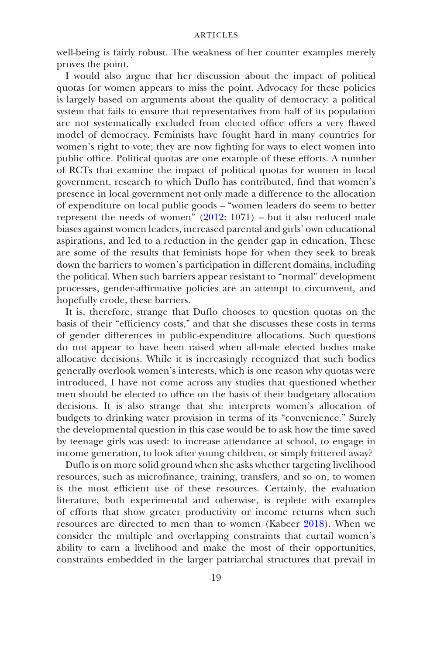well-being is fairly robust. The weakness of her counter examples merely proves the point.

I would also argue that her discussion about the impact of political quotas for women appears to miss the point. Advocacy for these policies is largely based on arguments about the quality of democracy: a political system that fails to ensure that representatives from half of its population are not systematically excluded from elected office offers a very flawed model of democracy. Feminists have fought hard in many countries for women's right to vote; they are now fighting for ways to elect women into public office. Political quotas are one example of these efforts. A number of RCTs that examine the impact of political quotas for women in local government, research to which Duflo has contributed, find that women's presence in local government not only made a difference to the allocation of expenditure on local public goods – "women leaders do seem to better represent the needs of women"  $(2012: 1071)$  $(2012: 1071)$  – but it also reduced male biases against women leaders, increased parental and girls' own educational aspirations, and led to a reduction in the gender gap in education. These are some of the results that feminists hope for when they seek to break down the barriers to women's participation in different domains, including the political. When such barriers appear resistant to "normal" development processes, gender-affirmative policies are an attempt to circumvent, and hopefully erode, these barriers.

It is, therefore, strange that Duflo chooses to question quotas on the basis of their "efficiency costs," and that she discusses these costs in terms of gender differences in public-expenditure allocations. Such questions do not appear to have been raised when all-male elected bodies make allocative decisions. While it is increasingly recognized that such bodies generally overlook women's interests, which is one reason why quotas were introduced, I have not come across any studies that questioned whether men should be elected to office on the basis of their budgetary allocation decisions. It is also strange that she interprets women's allocation of budgets to drinking water provision in terms of its "convenience." Surely the developmental question in this case would be to ask how the time saved by teenage girls was used: to increase attendance at school, to engage in income generation, to look after young children, or simply frittered away?

Duflo is on more solid ground when she asks whether targeting livelihood resources, such as microfinance, training, transfers, and so on, to women is the most efficient use of these resources. Certainly, the evaluation literature, both experimental and otherwise, is replete with examples of efforts that show greater productivity or income returns when such resources are directed to men than to women (Kabeer [2018\)](#page-24-16). When we consider the multiple and overlapping constraints that curtail women's ability to earn a livelihood and make the most of their opportunities, constraints embedded in the larger patriarchal structures that prevail in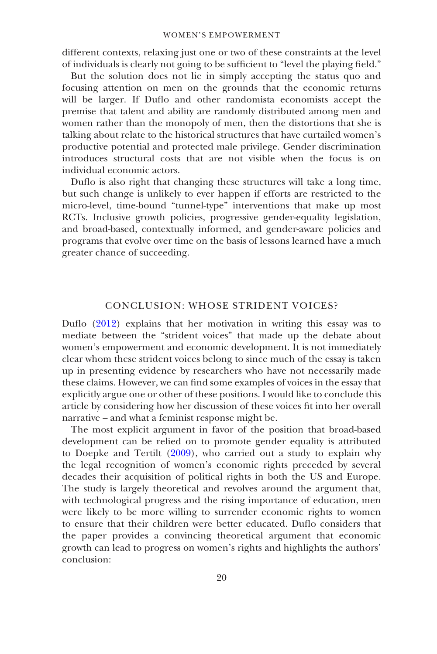different contexts, relaxing just one or two of these constraints at the level of individuals is clearly not going to be sufficient to "level the playing field."

But the solution does not lie in simply accepting the status quo and focusing attention on men on the grounds that the economic returns will be larger. If Duflo and other randomista economists accept the premise that talent and ability are randomly distributed among men and women rather than the monopoly of men, then the distortions that she is talking about relate to the historical structures that have curtailed women's productive potential and protected male privilege. Gender discrimination introduces structural costs that are not visible when the focus is on individual economic actors.

Duflo is also right that changing these structures will take a long time, but such change is unlikely to ever happen if efforts are restricted to the micro-level, time-bound "tunnel-type" interventions that make up most RCTs. Inclusive growth policies, progressive gender-equality legislation, and broad-based, contextually informed, and gender-aware policies and programs that evolve over time on the basis of lessons learned have a much greater chance of succeeding.

## CONCLUSION: WHOSE STRIDENT VOICES?

Duflo [\(2012\)](#page-24-6) explains that her motivation in writing this essay was to mediate between the "strident voices" that made up the debate about women's empowerment and economic development. It is not immediately clear whom these strident voices belong to since much of the essay is taken up in presenting evidence by researchers who have not necessarily made these claims. However, we can find some examples of voices in the essay that explicitly argue one or other of these positions. I would like to conclude this article by considering how her discussion of these voices fit into her overall narrative – and what a feminist response might be.

The most explicit argument in favor of the position that broad-based development can be relied on to promote gender equality is attributed to Doepke and Tertilt [\(2009\)](#page-24-17), who carried out a study to explain why the legal recognition of women's economic rights preceded by several decades their acquisition of political rights in both the US and Europe. The study is largely theoretical and revolves around the argument that, with technological progress and the rising importance of education, men were likely to be more willing to surrender economic rights to women to ensure that their children were better educated. Duflo considers that the paper provides a convincing theoretical argument that economic growth can lead to progress on women's rights and highlights the authors' conclusion: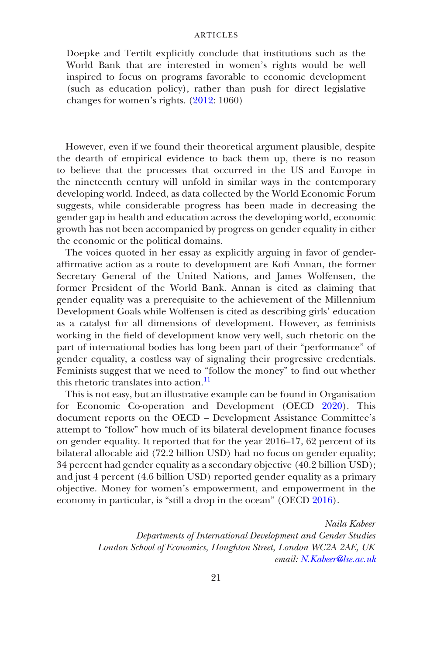Doepke and Tertilt explicitly conclude that institutions such as the World Bank that are interested in women's rights would be well inspired to focus on programs favorable to economic development (such as education policy), rather than push for direct legislative changes for women's rights. [\(2012:](#page-24-6) 1060)

However, even if we found their theoretical argument plausible, despite the dearth of empirical evidence to back them up, there is no reason to believe that the processes that occurred in the US and Europe in the nineteenth century will unfold in similar ways in the contemporary developing world. Indeed, as data collected by the World Economic Forum suggests, while considerable progress has been made in decreasing the gender gap in health and education across the developing world, economic growth has not been accompanied by progress on gender equality in either the economic or the political domains.

The voices quoted in her essay as explicitly arguing in favor of genderaffirmative action as a route to development are Kofi Annan, the former Secretary General of the United Nations, and James Wolfensen, the former President of the World Bank. Annan is cited as claiming that gender equality was a prerequisite to the achievement of the Millennium Development Goals while Wolfensen is cited as describing girls' education as a catalyst for all dimensions of development. However, as feminists working in the field of development know very well, such rhetoric on the part of international bodies has long been part of their "performance" of gender equality, a costless way of signaling their progressive credentials. Feminists suggest that we need to "follow the money" to find out whether this rhetoric translates into action.<sup>[11](#page-22-9)</sup>

<span id="page-21-0"></span>This is not easy, but an illustrative example can be found in Organisation for Economic Co-operation and Development (OECD [2020\)](#page-25-13). This document reports on the OECD – Development Assistance Committee's attempt to "follow" how much of its bilateral development finance focuses on gender equality. It reported that for the year 2016–17, 62 percent of its bilateral allocable aid (72.2 billion USD) had no focus on gender equality; 34 percent had gender equality as a secondary objective (40.2 billion USD); and just 4 percent (4.6 billion USD) reported gender equality as a primary objective. Money for women's empowerment, and empowerment in the economy in particular, is "still a drop in the ocean" (OECD [2016\)](#page-25-14).

> *Naila Kabeer Departments of International Development and Gender Studies London School of Economics, Houghton Street, London WC2A 2AE, UK email: [N.Kabeer@lse.ac.uk](mailto:N.Kabeer@lse.ac.uk)*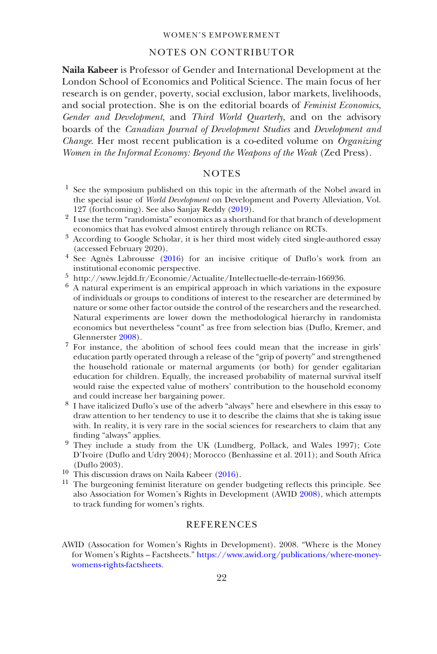#### WOMEN'S EMPOWERMENT

## NOTES ON CONTRIBUTOR

**Naila Kabeer** is Professor of Gender and International Development at the London School of Economics and Political Science. The main focus of her research is on gender, poverty, social exclusion, labor markets, livelihoods, and social protection. She is on the editorial boards of *Feminist Economics*, *Gender and Development*, and *Third World Quarterly*, and on the advisory boards of the *Canadian Journal of Development Studies* and *Development and Change*. Her most recent publication is a co-edited volume on *Organizing Women in the Informal Economy: Beyond the Weapons of the Weak* (Zed Press).

### **NOTES**

- <span id="page-22-0"></span>[1](#page-3-0) See the symposium published on this topic in the aftermath of the Nobel award in the special issue of *World Development* on Development and Poverty Alleviation, Vol. 127 (forthcoming). See also Sanjay Reddy [\(2019\)](#page-25-15).
- <span id="page-22-1"></span> $2\,$  $2\,$  I use the term "randomista" economics as a shorthand for that branch of development economics that has evolved almost entirely through reliance on RCTs.
- $\frac{3}{3}$  $\frac{3}{3}$  $\frac{3}{3}$  According to Google Scholar, it is her third most widely cited single-authored essay (accessed February 2020).
- <span id="page-22-3"></span><span id="page-22-2"></span><sup>[4](#page-3-3)</sup> See Agnès Labrousse [\(2016\)](#page-25-2) for an incisive critique of Duflo's work from an institutional economic perspective.<br>
<sup>5</sup> http://www.lejdd.fr/Economie/Actualite/Intellectuelle-de-terrain-166936.
- 
- <span id="page-22-5"></span><span id="page-22-4"></span> $6$  A natural experiment is an empirical approach in which variations in the exposure of individuals or groups to conditions of interest to the researcher are determined by nature or some other factor outside the control of the researchers and the researched. Natural experiments are lower down the methodological hierarchy in randomista economics but nevertheless "count" as free from selection bias (Duflo, Kremer, and Glennerster [2008\)](#page-24-0).
- <span id="page-22-6"></span>[7](#page-13-0) For instance, the abolition of school fees could mean that the increase in girls' education partly operated through a release of the "grip of poverty" and strengthened the household rationale or maternal arguments (or both) for gender egalitarian education for children. Equally, the increased probability of maternal survival itself would raise the expected value of mothers' contribution to the household economy and could increase her bargaining power. [8](#page-14-0) I have italicized Duflo's use of the adverb "always" here and elsewhere in this essay to
- <span id="page-22-7"></span>draw attention to her tendency to use it to describe the claims that she is taking issue with. In reality, it is very rare in the social sciences for researchers to claim that any finding "always" applies.
- <span id="page-22-8"></span> $9$  They include a study from the UK (Lundberg, Pollack, and Wales 1997); Cote D'Ivoire (Duflo and Udry 2004); Morocco (Benhassine et al. 2011); and South Africa (Duflo 2003). 10 This discussion draws on Naila Kabeer [\(2016\)](#page-24-18). 10 This discussion draws on Naila Kabeer (2016). [11](#page-21-0) The burgeoning feminist literature on gender budgeting reflects this principle. See
- 
- <span id="page-22-9"></span>also Association for Women's Rights in Development (AWID [2008\)](#page-22-10), which attempts to track funding for women's rights.

## **REFERENCES**

<span id="page-22-10"></span>AWID (Assocation for Women's Rights in Development). 2008. "Where is the Money for Women's Rights – Factsheets." https://www.awid.org/publications/where-moneywomens-rights-factsheets.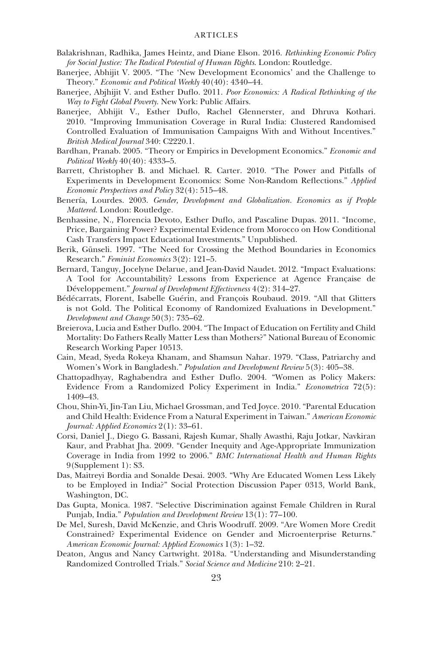- <span id="page-23-2"></span>Balakrishnan, Radhika, James Heintz, and Diane Elson. 2016. *Rethinking Economic Policy for Social Justice: The Radical Potential of Human Rights*. London: Routledge.
- <span id="page-23-3"></span>Banerjee, Abhijit V. 2005. "The 'New Development Economics' and the Challenge to Theory." *Economic and Political Weekly* 40(40): 4340–44.
- <span id="page-23-4"></span>Banerjee, Abjhijit V. and Esther Duflo. 2011. *Poor Economics: A Radical Rethinking of the Way to Fight Global Poverty*. New York: Public Affairs.
- <span id="page-23-9"></span>Banerjee, Abhijit V., Esther Duflo, Rachel Glennerster, and Dhruva Kothari. 2010. "Improving Immunisation Coverage in Rural India: Clustered Randomised Controlled Evaluation of Immunisation Campaigns With and Without Incentives." *British Medical Journal* 340: C2220.1.
- <span id="page-23-6"></span>Bardhan, Pranab. 2005. "Theory or Empirics in Development Economics." *Economic and Political Weekly* 40(40): 4333–5.
- <span id="page-23-8"></span>Barrett, Christopher B. and Michael. R. Carter. 2010. "The Power and Pitfalls of Experiments in Development Economics: Some Non-Random Reflections." *Applied Economic Perspectives and Policy* 32(4): 515–48.
- Benería, Lourdes. 2003. *Gender, Development and Globalization. Economics as if People Mattered*. London: Routledge.
- Benhassine, N., Florencia Devoto, Esther Duflo, and Pascaline Dupas. 2011. "Income, Price, Bargaining Power? Experimental Evidence from Morocco on How Conditional Cash Transfers Impact Educational Investments." Unpublished.
- <span id="page-23-1"></span>Berik, Günseli. 1997. "The Need for Crossing the Method Boundaries in Economics Research." *Feminist Economics* 3(2): 121–5.
- <span id="page-23-7"></span>Bernard, Tanguy, Jocelyne Delarue, and Jean-David Naudet. 2012. "Impact Evaluations: A Tool for Accountability? Lessons from Experience at Agence Française de Développement." *Journal of Development Effectiveness* 4(2): 314–27.
- <span id="page-23-0"></span>Bédécarrats, Florent, Isabelle Guérin, and François Roubaud. 2019. "All that Glitters is not Gold. The Political Economy of Randomized Evaluations in Development." *Development and Change* 50(3): 735–62.
- <span id="page-23-12"></span>Breierova, Lucia and Esther Duflo. 2004. "The Impact of Education on Fertility and Child Mortality: Do Fathers Really Matter Less than Mothers?" National Bureau of Economic Research Working Paper 10513.
- Cain, Mead, Syeda Rokeya Khanam, and Shamsun Nahar. 1979. "Class, Patriarchy and Women's Work in Bangladesh." *Population and Development Review* 5(3): 405–38.
- <span id="page-23-14"></span>Chattopadhyay, Raghabendra and Esther Duflo. 2004. "Women as Policy Makers: Evidence From a Randomized Policy Experiment in India." *Econometrica* 72(5): 1409–43.
- <span id="page-23-13"></span>Chou, Shin-Yi, Jin-Tan Liu, Michael Grossman, and Ted Joyce. 2010. "Parental Education and Child Health: Evidence From a Natural Experiment in Taiwan." *American Economic Journal: Applied Economics* 2(1): 33–61.
- <span id="page-23-11"></span>Corsi, Daniel J., Diego G. Bassani, Rajesh Kumar, Shally Awasthi, Raju Jotkar, Navkiran Kaur, and Prabhat Jha. 2009. "Gender Inequity and Age-Appropriate Immunization Coverage in India from 1992 to 2006." *BMC International Health and Human Rights* 9(Supplement 1): S3.
- <span id="page-23-10"></span>Das, Maitreyi Bordia and Sonalde Desai. 2003. "Why Are Educated Women Less Likely to be Employed in India?" Social Protection Discussion Paper 0313, World Bank, Washington, DC.
- Das Gupta, Monica. 1987. "Selective Discrimination against Female Children in Rural Punjab, India." *Population and Development Review* 13(1): 77–100.
- <span id="page-23-15"></span>De Mel, Suresh, David McKenzie, and Chris Woodruff. 2009. "Are Women More Credit Constrained? Experimental Evidence on Gender and Microenterprise Returns." *American Economic Journal: Applied Economics* 1(3): 1–32.
- <span id="page-23-5"></span>Deaton, Angus and Nancy Cartwright. 2018a. "Understanding and Misunderstanding Randomized Controlled Trials." *Social Science and Medicine* 210: 2–21.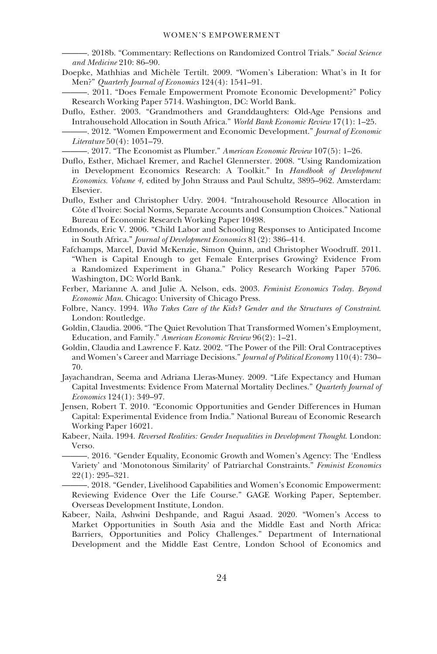<span id="page-24-5"></span>———. 2018b. "Commentary: Reflections on Randomized Control Trials." *Social Science and Medicine* 210: 86–90.

<span id="page-24-17"></span>Doepke, Mathhias and Michèle Tertilt. 2009. "Women's Liberation: What's in It for Men?" *Quarterly Journal of Economics* 124(4): 1541–91.

<span id="page-24-12"></span>———. 2011. "Does Female Empowerment Promote Economic Development?" Policy Research Working Paper 5714. Washington, DC: World Bank.

Duflo, Esther. 2003. "Grandmothers and Granddaughters: Old-Age Pensions and Intrahousehold Allocation in South Africa." *World Bank Economic Review* 17(1): 1–25.

<span id="page-24-6"></span>———. 2012. "Women Empowerment and Economic Development." *Journal of Economic Literature* 50(4): 1051–79.

———. 2017. "The Economist as Plumber." *American Economic Review* 107(5): 1–26.

- <span id="page-24-4"></span><span id="page-24-0"></span>Duflo, Esther, Michael Kremer, and Rachel Glennerster. 2008. "Using Randomization in Development Economics Research: A Toolkit." In *Handbook of Development Economics. Volume 4*, edited by John Strauss and Paul Schultz, 3895–962. Amsterdam: Elsevier.
- <span id="page-24-13"></span>Duflo, Esther and Christopher Udry. 2004. "Intrahousehold Resource Allocation in Còte d'Ivoire: Social Norms, Separate Accounts and Consumption Choices." National Bureau of Economic Research Working Paper 10498.
- <span id="page-24-14"></span>Edmonds, Eric V. 2006. "Child Labor and Schooling Responses to Anticipated Income in South Africa." *Journal of Development Economics* 81(2): 386–414.
- <span id="page-24-15"></span>Fafchamps, Marcel, David McKenzie, Simon Quinn, and Christopher Woodruff. 2011. "When is Capital Enough to get Female Enterprises Growing? Evidence From a Randomized Experiment in Ghana." Policy Research Working Paper 5706. Washington, DC: World Bank.
- <span id="page-24-3"></span>Ferber, Marianne A. and Julie A. Nelson, eds. 2003. *Feminist Economics Today. Beyond Economic Man*. Chicago: University of Chicago Press.
- <span id="page-24-1"></span>Folbre, Nancy. 1994. *Who Takes Care of the Kids? Gender and the Structures of Constraint*. London: Routledge.
- <span id="page-24-8"></span>Goldin, Claudia. 2006. "The Quiet Revolution That Transformed Women's Employment, Education, and Family." *American Economic Review* 96(2): 1–21.
- <span id="page-24-7"></span>Goldin, Claudia and Lawrence F. Katz. 2002. "The Power of the Pill: Oral Contraceptives and Women's Career and Marriage Decisions." *Journal of Political Economy* 110(4): 730– 70.
- <span id="page-24-10"></span>Jayachandran, Seema and Adriana Lleras-Muney. 2009. "Life Expectancy and Human Capital Investments: Evidence From Maternal Mortality Declines." *Quarterly Journal of Economics* 124(1): 349–97.
- <span id="page-24-9"></span>Jensen, Robert T. 2010. "Economic Opportunities and Gender Differences in Human Capital: Experimental Evidence from India." National Bureau of Economic Research Working Paper 16021.
- <span id="page-24-2"></span>Kabeer, Naila. 1994. *Reversed Realities: Gender Inequalities in Development Thought*. London: Verso.

<span id="page-24-18"></span>———. 2016. "Gender Equality, Economic Growth and Women's Agency: The 'Endless Variety' and 'Monotonous Similarity' of Patriarchal Constraints." *Feminist Economics* 22(1): 295–321.

<span id="page-24-16"></span>———. 2018. "Gender, Livelihood Capabilities and Women's Economic Empowerment: Reviewing Evidence Over the Life Course." GAGE Working Paper, September. Overseas Development Institute, London.

<span id="page-24-11"></span>Kabeer, Naila, Ashwini Deshpande, and Ragui Asaad. 2020. "Women's Access to Market Opportunities in South Asia and the Middle East and North Africa: Barriers, Opportunities and Policy Challenges." Department of International Development and the Middle East Centre, London School of Economics and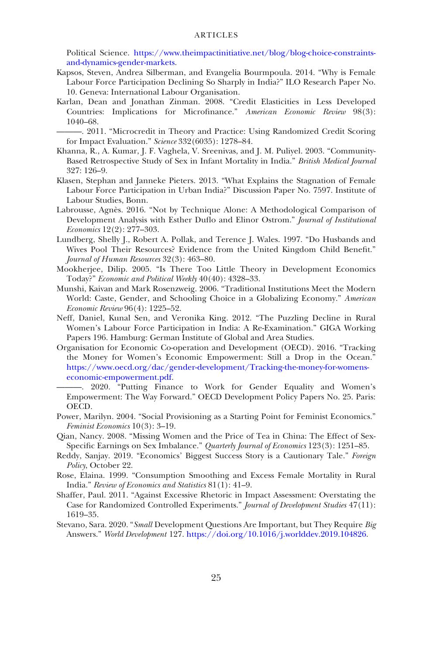Political Science. https://www.theimpactinitiative.net/blog/blog-choice-constraintsand-dynamics-gender-markets.

- <span id="page-25-10"></span>Kapsos, Steven, Andrea Silberman, and Evangelia Bourmpoula. 2014. "Why is Female Labour Force Participation Declining So Sharply in India?" ILO Research Paper No. 10. Geneva: International Labour Organisation.
- <span id="page-25-12"></span>Karlan, Dean and Jonathan Zinman. 2008. "Credit Elasticities in Less Developed Countries: Implications for Microfinance." *American Economic Review* 98(3): 1040–68.

———. 2011. "Microcredit in Theory and Practice: Using Randomized Credit Scoring for Impact Evaluation." *Science* 332(6035): 1278–84.

- <span id="page-25-7"></span>Khanna, R., A. Kumar, J. F. Vaghela, V. Sreenivas, and J. M. Puliyel. 2003. "Community-Based Retrospective Study of Sex in Infant Mortality in India." *British Medical Journal* 327: 126–9.
- <span id="page-25-11"></span>Klasen, Stephan and Janneke Pieters. 2013. "What Explains the Stagnation of Female Labour Force Participation in Urban India?" Discussion Paper No. 7597. Institute of Labour Studies, Bonn.
- <span id="page-25-2"></span>Labrousse, Agnès. 2016. "Not by Technique Alone: A Methodological Comparison of Development Analysis with Esther Duflo and Elinor Ostrom." *Journal of Institutional Economics* 12(2): 277–303.
- Lundberg, Shelly J., Robert A. Pollak, and Terence J. Wales. 1997. "Do Husbands and Wives Pool Their Resources? Evidence from the United Kingdom Child Benefit." *Journal of Human Resources* 32(3): 463–80.
- <span id="page-25-1"></span>Mookherjee, Dilip. 2005. "Is There Too Little Theory in Development Economics Today?" *Economic and Political Weekly* 40(40): 4328–33.
- <span id="page-25-6"></span>Munshi, Kaivan and Mark Rosenzweig. 2006. "Traditional Institutions Meet the Modern World: Caste, Gender, and Schooling Choice in a Globalizing Economy." *American Economic Review* 96(4): 1225–52.
- <span id="page-25-9"></span>Neff, Daniel, Kunal Sen, and Veronika King. 2012. "The Puzzling Decline in Rural Women's Labour Force Participation in India: A Re-Examination." GIGA Working Papers 196. Hamburg: German Institute of Global and Area Studies.
- <span id="page-25-14"></span>Organisation for Economic Co-operation and Development (OECD). 2016. "Tracking the Money for Women's Economic Empowerment: Still a Drop in the Ocean." https://www.oecd.org/dac/gender-development/Tracking-the-money-for-womenseconomic-empowerment.pdf.
- <span id="page-25-13"></span>———. 2020. "Putting Finance to Work for Gender Equality and Women's Empowerment: The Way Forward." OECD Development Policy Papers No. 25. Paris: OECD.
- <span id="page-25-0"></span>Power, Marilyn. 2004. "Social Provisioning as a Starting Point for Feminist Economics." *Feminist Economics* 10(3): 3–19.
- <span id="page-25-5"></span>Qian, Nancy. 2008. "Missing Women and the Price of Tea in China: The Effect of Sex-Specific Earnings on Sex Imbalance." *Quarterly Journal of Economics* 123(3): 1251–85.
- <span id="page-25-15"></span>Reddy, Sanjay. 2019. "Economics' Biggest Success Story is a Cautionary Tale." *Foreign Policy*, October 22.
- <span id="page-25-8"></span>Rose, Elaina. 1999. "Consumption Smoothing and Excess Female Mortality in Rural India." *Review of Economics and Statistics* 81(1): 41–9.
- <span id="page-25-4"></span>Shaffer, Paul. 2011. "Against Excessive Rhetoric in Impact Assessment: Overstating the Case for Randomized Controlled Experiments." *Journal of Development Studies* 47(11): 1619–35.
- <span id="page-25-3"></span>Stevano, Sara. 2020. "*Small* Development Questions Are Important, but They Require *Big* Answers." *World Development* 127. [https://doi.org/10.1016/j.worlddev.2019.104826.](https://doi.org/10.1016/j.worlddev.2019.104826)